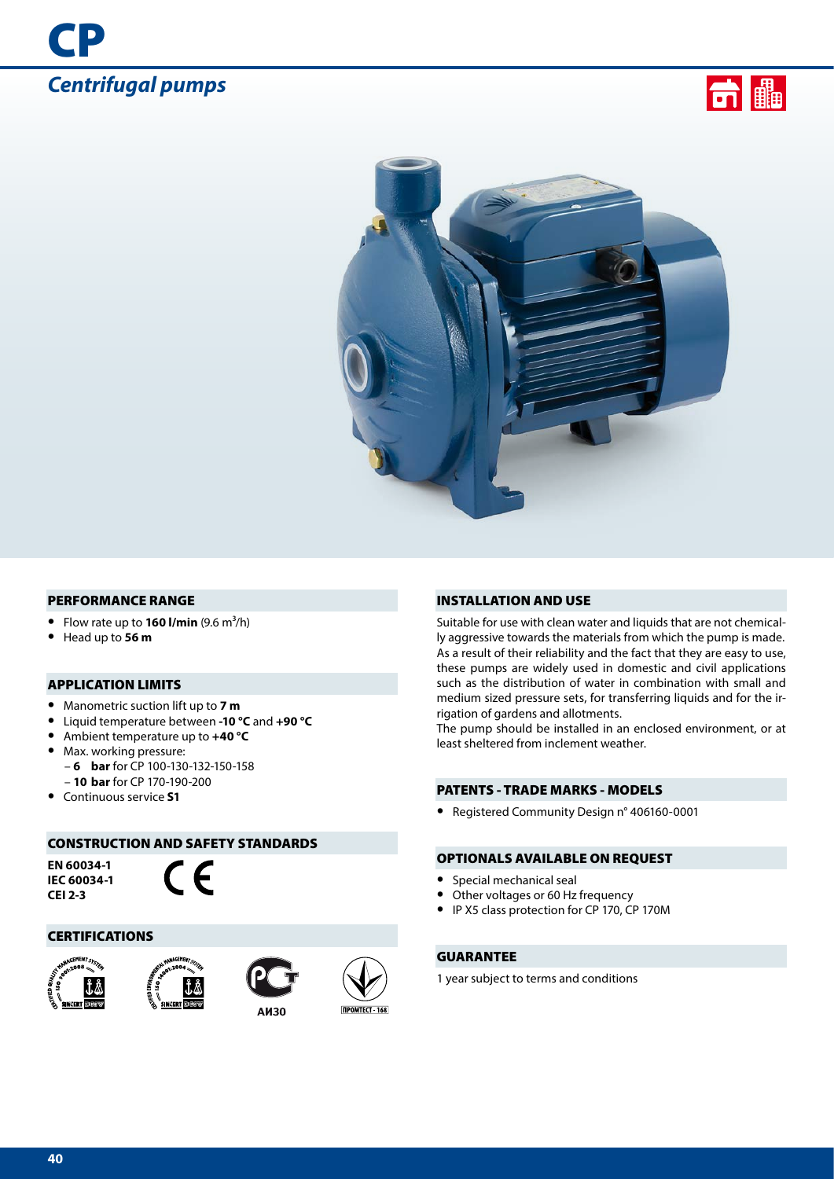





#### PERFORMANCE RANGE

- Flow rate up to  $160$  I/min  $(9.6 \text{ m}^3/\text{h})$
- **•** Head up to **56 m**

## APPLICATION LIMITS

- **•** Manometric suction lift up to **7 m**
- **•** Liquid temperature between **-10 °C** and **+90 °C**
- **•** Ambient temperature up to **+40 °C**
- **•** Max. working pressure:
	- **6 bar** for CP 100-130-132-150-158
- **10 bar** for CP 170-190-200
- **•** Continuous service **S1**

## CONSTRUCTION AND SAFETY STANDARDS

**EN 60034-1 IEC 60034-1 CEI 2-3**



#### CERTIFICATIONS









### INSTALLATION AND USE

Suitable for use with clean water and liquids that are not chemically aggressive towards the materials from which the pump is made. As a result of their reliability and the fact that they are easy to use, these pumps are widely used in domestic and civil applications such as the distribution of water in combination with small and medium sized pressure sets, for transferring liquids and for the irrigation of gardens and allotments.

The pump should be installed in an enclosed environment, or at least sheltered from inclement weather.

### PATENTS - TRADE MARKS - MODELS

**•** Registered Community Design n° 406160-0001

#### OPTIONALS AVAILABLE ON REQUEST

- **•** Special mechanical seal
- **•** Other voltages or 60 Hz frequency
- **•** IP X5 class protection for CP 170, CP 170M

## GUARANTEE

1 year subject to terms and conditions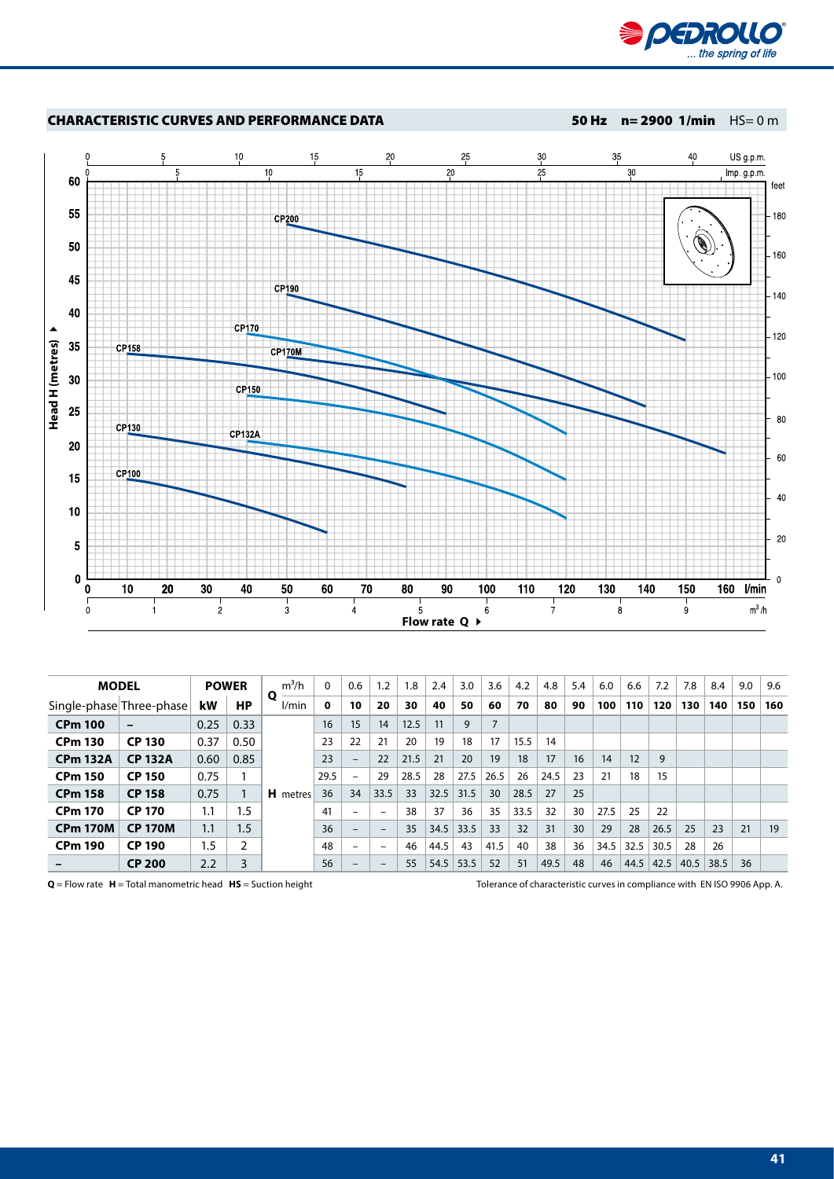



| <b>MODEL</b><br><b>POWER</b> |                          |         | $m^3/h$ | $\Omega$        | 0.6  | 1.2                      | 1.8  | 2.4  | 3.0  | 3.6  | 4.2  | 4.8  | 5.4  | 6.0 | 6.6  | 7.2  | 7.8  | 8.4  | 9.0  | 9.6 |     |
|------------------------------|--------------------------|---------|---------|-----------------|------|--------------------------|------|------|------|------|------|------|------|-----|------|------|------|------|------|-----|-----|
|                              | Single-phase Three-phase | kW      | НP      | Q<br>l/min      | 0    | 10                       | 20   | 30   | 40   | 50   | 60   | 70   | 80   | 90  | 100  | 110  | 120  | 130  | 140  | 150 | 160 |
| <b>CPm 100</b>               | $\overline{\phantom{0}}$ | 0.25    | 0.33    |                 | 16   | 15                       | 14   | 12.5 | 11   | 9    | 7    |      |      |     |      |      |      |      |      |     |     |
| <b>CPm 130</b>               | <b>CP 130</b>            | 0.37    | 0.50    |                 | 23   | 22                       | 21   | 20   | 19   | 18   | 17   | 15.5 | 14   |     |      |      |      |      |      |     |     |
| <b>CPm 132A</b>              | <b>CP 132A</b>           | 0.60    | 0.85    |                 | 23   | $\overline{\phantom{a}}$ | 22   | 21.5 | 21   | 20   | 19   | 18   | 17   | 16  | 14   | 12   | 9    |      |      |     |     |
| <b>CPm 150</b>               | <b>CP 150</b>            | 0.75    |         |                 | 29.5 | $\overline{\phantom{a}}$ | 29   | 28.5 | 28   | 27.5 | 26.5 | 26   | 24.5 | 23  | 21   | 18   | 15   |      |      |     |     |
| <b>CPm 158</b>               | <b>CP 158</b>            | 0.75    |         | <b>H</b> metres | 36   | 34                       | 33.5 | 33   | 32.5 | 31.5 | 30   | 28.5 | 27   | 25  |      |      |      |      |      |     |     |
| <b>CPm 170</b>               | <b>CP 170</b>            | 1.1     | 1.5     |                 | 41   | $\overline{\phantom{0}}$ | $-$  | 38   | 37   | 36   | 35   | 33.5 | 32   | 30  | 27.5 | 25   | 22   |      |      |     |     |
| <b>CPm 170M</b>              | <b>CP 170M</b>           | 1.1     | 1.5     |                 | 36   | $-$                      | -    | 35   | 34.5 | 33.5 | 33   | 32   | 31   | 30  | 29   | 28   | 26.5 | 25   | 23   | 21  | 19  |
| <b>CPm 190</b>               | <b>CP 190</b>            | $1.5\,$ | 2       |                 | 48   | $\overline{\phantom{0}}$ | -    | 46   | 44.5 | 43   | 41.5 | 40   | 38   | 36  | 34.5 | 32.5 | 30.5 | 28   | 26   |     |     |
|                              | <b>CP 200</b>            | 2.2     | 3       |                 | 56   | $\overline{\phantom{0}}$ | -    | 55   | 54.5 | 53.5 | 52   | 51   | 49.5 | 48  | 46   | 44.5 | 42.5 | 40.5 | 38.5 | 36  |     |

**Q** = Flow rate **H** = Total manometric head **HS** = Suction height Tolerance of characteristic curves in compliance with EN ISO 9906 App. A.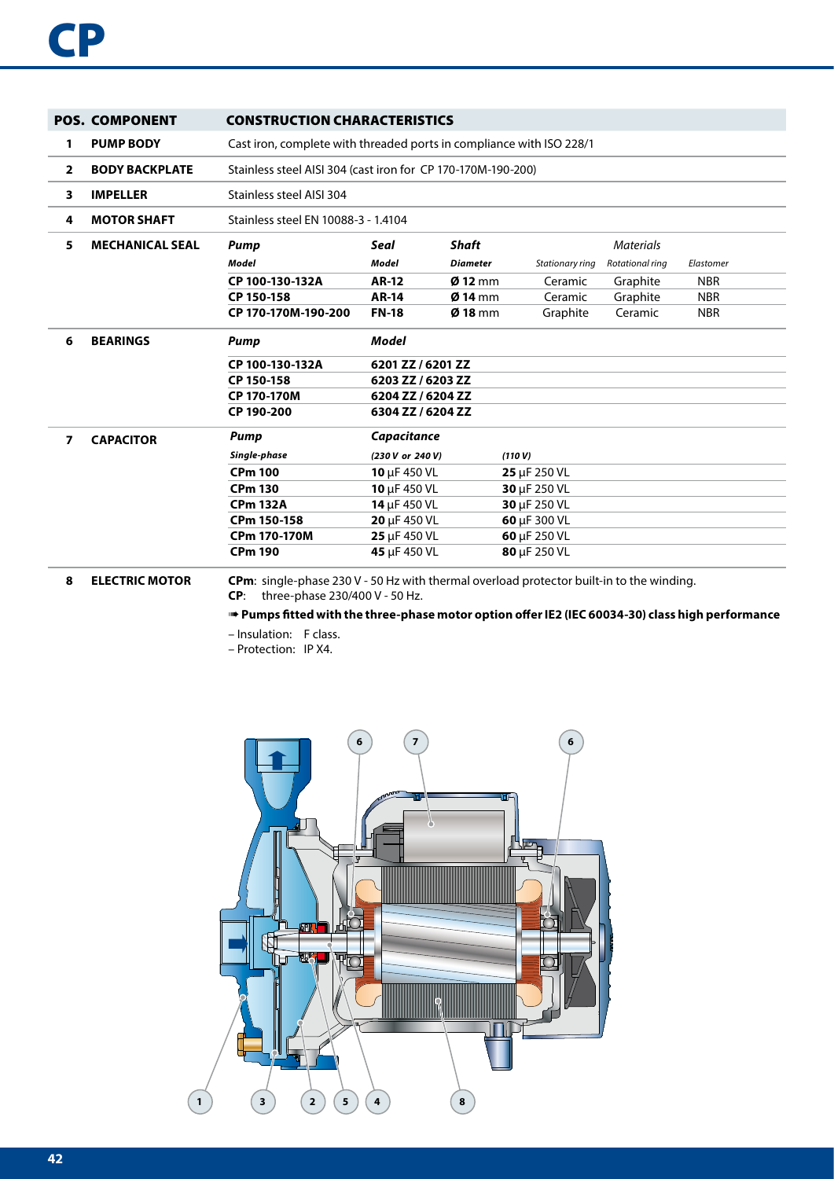|                | <b>POS. COMPONENT</b>  | <b>CONSTRUCTION CHARACTERISTICS</b>                                                                                                       |                                                                      |                   |                 |                  |            |  |  |  |  |  |
|----------------|------------------------|-------------------------------------------------------------------------------------------------------------------------------------------|----------------------------------------------------------------------|-------------------|-----------------|------------------|------------|--|--|--|--|--|
| 1              | <b>PUMP BODY</b>       |                                                                                                                                           | Cast iron, complete with threaded ports in compliance with ISO 228/1 |                   |                 |                  |            |  |  |  |  |  |
| $\overline{2}$ | <b>BODY BACKPLATE</b>  |                                                                                                                                           | Stainless steel AISI 304 (cast iron for CP 170-170M-190-200)         |                   |                 |                  |            |  |  |  |  |  |
| 3              | <b>IMPELLER</b>        | Stainless steel AISI 304                                                                                                                  |                                                                      |                   |                 |                  |            |  |  |  |  |  |
| 4              | <b>MOTOR SHAFT</b>     | Stainless steel EN 10088-3 - 1.4104                                                                                                       |                                                                      |                   |                 |                  |            |  |  |  |  |  |
| 5              | <b>MECHANICAL SEAL</b> | Pump                                                                                                                                      | Seal                                                                 | <b>Shaft</b>      |                 | <b>Materials</b> |            |  |  |  |  |  |
|                |                        | Model                                                                                                                                     | <b>Model</b>                                                         | <b>Diameter</b>   | Stationary ring | Rotational ring  | Elastomer  |  |  |  |  |  |
|                |                        | CP 100-130-132A                                                                                                                           | <b>AR-12</b>                                                         | $Ø$ 12 mm         | Ceramic         | Graphite         | <b>NBR</b> |  |  |  |  |  |
|                |                        | CP 150-158                                                                                                                                | <b>AR-14</b>                                                         | $Ø$ 14 mm         | Ceramic         | Graphite         | <b>NBR</b> |  |  |  |  |  |
|                |                        | CP 170-170M-190-200                                                                                                                       | <b>FN-18</b>                                                         | $\emptyset$ 18 mm | Graphite        | Ceramic          | <b>NBR</b> |  |  |  |  |  |
| 6              | <b>BEARINGS</b>        | <b>Pump</b>                                                                                                                               | Model                                                                |                   |                 |                  |            |  |  |  |  |  |
|                |                        | CP 100-130-132A                                                                                                                           | 6201 ZZ / 6201 ZZ                                                    |                   |                 |                  |            |  |  |  |  |  |
|                |                        | CP 150-158                                                                                                                                | 6203 ZZ / 6203 ZZ                                                    |                   |                 |                  |            |  |  |  |  |  |
|                |                        | CP 170-170M                                                                                                                               | 6204 ZZ / 6204 ZZ                                                    |                   |                 |                  |            |  |  |  |  |  |
|                |                        | CP 190-200                                                                                                                                | 6304 ZZ / 6204 ZZ                                                    |                   |                 |                  |            |  |  |  |  |  |
| $\overline{7}$ | <b>CAPACITOR</b>       | Pump                                                                                                                                      | Capacitance                                                          |                   |                 |                  |            |  |  |  |  |  |
|                |                        | Single-phase                                                                                                                              | (230 V or 240 V)                                                     |                   | (110 V)         |                  |            |  |  |  |  |  |
|                |                        | <b>CPm 100</b>                                                                                                                            | 10 µF 450 VL                                                         |                   | 25 µF 250 VL    |                  |            |  |  |  |  |  |
|                |                        | <b>CPm 130</b>                                                                                                                            | 10 µF 450 VL                                                         |                   | 30 µF 250 VL    |                  |            |  |  |  |  |  |
|                |                        | <b>CPm 132A</b>                                                                                                                           | 14 µF 450 VL                                                         |                   | 30 µF 250 VL    |                  |            |  |  |  |  |  |
|                |                        | CPm 150-158                                                                                                                               | 20 µF 450 VL                                                         |                   | 60 µF 300 VL    |                  |            |  |  |  |  |  |
|                |                        | CPm 170-170M                                                                                                                              | 25 µF 450 VL                                                         |                   | 60 µF 250 VL    |                  |            |  |  |  |  |  |
|                |                        | <b>CPm 190</b>                                                                                                                            | 45 µF 450 VL                                                         |                   | 80 µF 250 VL    |                  |            |  |  |  |  |  |
| 8              | <b>ELECTRIC MOTOR</b>  | <b>CPm</b> : single-phase 230 V - 50 Hz with thermal overload protector built-in to the winding.<br>three-phase 230/400 V - 50 Hz.<br>CP: |                                                                      |                   |                 |                  |            |  |  |  |  |  |

➠ **Pumps fitted with the three-phase motor option offer IE2 (IEC 60034-30) class high performance**

– Insulation: F class.

– Protection: IP X4.